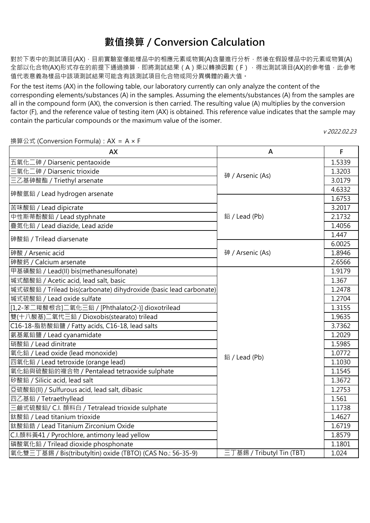對於下表中的測試項目(AX),目前實驗室僅能樣品中的相應元素或物質(A)含量進行分析,然後在假設樣品中的元素或物質(A) 全部以化合物(AX)形式存在的前提下通過換算,即將測試結果(A)乘以轉換因數(F),得出測試項目(AX)的參考值,此參考 值代表意義為樣品中該項測試結果可能含有該測試項目化合物或同分異構體的最大值。

For the test items (AX) in the following table, our laboratory currently can only analyze the content of the corresponding elements/substances (A) in the samples. Assuming the elements/substances (A) from the samples are all in the compound form (AX), the conversion is then carried. The resulting value (A) multiplies by the conversion factor (F), and the reference value of testing item (AX) is obtained. This reference value indicates that the sample may contain the particular compounds or the maximum value of the isomer.

換算公式 (Conversion Formula):AX = A × F

**AX F** 五氧化二砷 / Diarsenic pentaoxide 1.5339 三氧化二砷 / Diarsenic trioxide 1.3203 三⼄基砷酸酯 / Triethyl arsenate 3.0179 4.6332 1.6753 苦味酸鉛 / Lead dipicrate 3.2017 中性斯蒂酚酸鉛 / Lead styphnate 2.1732 疊氮化鉛 / Lead diazide, Lead azide 1.4056 1.447 6.0025 砷酸 / Arsenic acid 1.8946 砷酸鈣 / Calcium arsenate 2.6566 甲基磺酸鉛 / Lead(II) bis(methanesulfonate) 1.9179 堿式醋酸鉛 / Acetic acid, lead salt, basic 1.367 堿式碳酸鉛 / Trilead bis(carbonate) dihydroxide (basic lead carbonate) lack and the controller state of the care of 堿式硫酸鉛 / Lead oxide sulfate 1.2704 [1,2-苯二羧酸根合]二氧化三鉛 / [Phthalato(2-)] dioxotrilead 1.3155 雙(十八酸基)二氧代三鉛 / Dioxobis(stearato) trilead 1.9635 - 1.9635 C16-18-脂肪酸鉛鹽 / Fatty acids, C16-18, lead salts 3.7362 氨基氰鉛鹽 / Lead cyanamidate 1.2029 硝酸鉛 / Lead dinitrate 1.5985 氧化鉛 / Lead oxide (lead monoxide) 1.0772 四氧化鉛 / Lead tetroxide (orange lead) 1.1030 氧化鉛與硫酸鉛的複合物 / Pentalead tetraoxide sulphate 1.1545 矽酸鉛 / Silicic acid, lead salt  $\begin{array}{|c|c|c|c|c|}\hline & & & & \\\hline \end{array}$ 亞硫酸鉛(II) / Sulfurous acid, lead salt, dibasic インタン インタン しゅうしょう しょうしょう しょうしょう しょうしょう 四⼄基鉛 / Tetraethyllead 1.561 三鹼式硫酸鉛/ C.I. 顏料白 / Tetralead trioxide sulphate 1.1738 鈦酸鉛 / Lead titanium trioxide 1.4627 鈦酸鉛鋯 / Lead Titanium Zirconium Oxide 1.6719 C.I.顏料黃41 / Pyrochlore, antimony lead yellow 1.8579 磷酸氧化鉛 / Trilead dioxide phosphonate 1.1801 氧化雙三丁基錫 / Bis(tributyltin) oxide (TBTO) (CAS No.: 56-35-9) 三丁基錫 / Tributyl Tin (TBT) 1.024 鉛 / Lead (Pb) **A** 鉛 / Lead (Pb) 砷 / Arsenic (As) 砷酸氫鉛 / Lead hydrogen arsenate 砷酸鉛 / Trilead diarsenate 三丁基錫 / Tributyl Tin (TBT) 砷 / Arsenic (As)

<sup>v</sup> 2022.02.23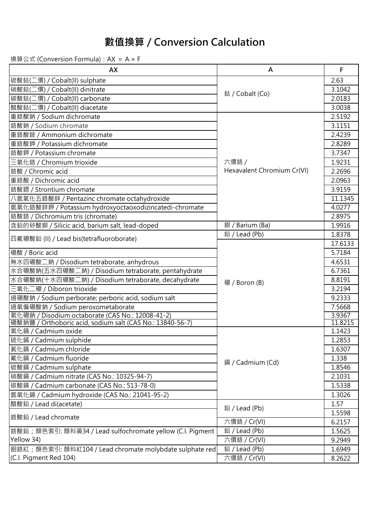| <b>AX</b>                                                  | A                          | F       |
|------------------------------------------------------------|----------------------------|---------|
| 硫酸鈷(二價) / Cobalt(II) sulphate                              |                            | 2.63    |
| 硝酸鈷(二價) / Cobalt(II) dinitrate                             |                            | 3.1042  |
| 碳酸鈷(二價) / Cobalt(II) carbonate                             | 鈷 / Cobalt (Co)            | 2.0183  |
| 醋酸鈷(二價) / Cobalt(II) diacetate                             |                            | 3.0038  |
| 重鉻酸鈉 / Sodium dichromate                                   |                            | 2.5192  |
| 鉻酸鈉 / Sodium chromate                                      |                            | 3.1151  |
| 重鉻酸銨 / Ammonium dichromate                                 |                            | 2.4239  |
| 重鉻酸鉀 / Potassium dichromate                                |                            | 2.8289  |
| 鉻酸鉀 / Potassium chromate                                   |                            | 3.7347  |
| 三氧化鉻 / Chromium trioxide                                   | 六價鉻 /                      | 1.9231  |
| 鉻酸 / Chromic acid                                          | Hexavalent Chromium Cr(VI) | 2.2696  |
| 重鉻酸 / Dichromic acid                                       |                            | 2.0963  |
| 鉻酸鍶 / Strontium chromate                                   |                            | 3.9159  |
| 八氫氧化五鉻酸鋅 / Pentazinc chromate octahydroxide                |                            | 11.1345 |
| 氫氧化鉻酸鋅鉀 / Potassium hydroxyoctaoxodizincatedi-chromate     |                            | 4.0277  |
| 鉻酸鉻 / Dichromium tris (chromate)                           |                            | 2.8975  |
| 含鉛的矽酸鋇 / Silicic acid, barium salt, lead-doped             | 鋇 / Barium (Ba)            | 1.9916  |
|                                                            | 鉛 / Lead (Pb)              | 1.8378  |
| 四氟硼酸鉛 (II) / Lead bis(tetrafluoroborate)                   |                            | 17.6133 |
| 硼酸 / Boric acid                                            |                            | 5.7184  |
| 無水四硼酸二鈉 / Disodium tetraborate, anhydrous                  |                            | 4.6531  |
| 水合硼酸鈉(五水四硼酸二鈉) / Disodium tetraborate, pentahydrate        |                            | 6.7361  |
| 水合硼酸鈉(十水四硼酸二鈉) / Disodium tetraborate, decahydrate         | 硼 / Boron (B)              | 8.8191  |
| 三氧化二硼 / Diboron trioxide                                   |                            | 3.2194  |
| 過硼酸鈉 / Sodium perborate; perboric acid, sodium salt        |                            | 9.2333  |
| 過氧偏硼酸鈉 / Sodium peroxometaborate                           |                            | 7.5668  |
| 氧化硼鈉 / Disodium octaborate (CAS No.: 12008-41-2)           |                            | 3.9367  |
| 硼酸鈉鹽 / Orthoboric acid, sodium salt (CAS No.: 13840-56-7)  |                            | 11.8215 |
| 氧化鎘 / Cadmium oxide                                        |                            | 1.1423  |
| 硫化鎘 / Cadmium sulphide                                     |                            | 1.2853  |
| 氯化鎘 / Cadmium chloride                                     |                            | 1.6307  |
| 氟化鎘 / Cadmium fluoride                                     | 鎘 / Cadmium (Cd)           | 1.338   |
| 硫酸鎘 / Cadmium sulphate                                     |                            | 1.8546  |
| 硝酸鎘 / Cadmium nitrate (CAS No.: 10325-94-7)                |                            | 2.1031  |
| 碳酸鎘 / Cadmium carbonate (CAS No.: 513-78-0)                |                            | 1.5338  |
| 氫氧化鎘 / Cadmium hydroxide (CAS No.: 21041-95-2)             |                            | 1.3026  |
| 醋酸鉛 / Lead di(acetate)                                     | 鉛 / Lead (Pb)              | 1.57    |
| 鉻酸鉛 / Lead chromate                                        |                            | 1.5598  |
|                                                            | 六價鉻 / Cr(VI)               | 6.2157  |
| 鉻酸鉛; 顏色索引: 顏料黃34 / Lead sulfochromate yellow (C.I. Pigment | 鉛/Lead (Pb)                | 1.5625  |
| Yellow 34)                                                 | 六價鉻 / Cr(VI)               | 9.2949  |
| 鉬鉻紅;顏色索引: 顏料紅104 / Lead chromate molybdate sulphate red    | 鉛 / Lead (Pb)              | 1.6949  |
| (C.I. Pigment Red 104)                                     | 六價鉻 / Cr(VI)               | 8.2622  |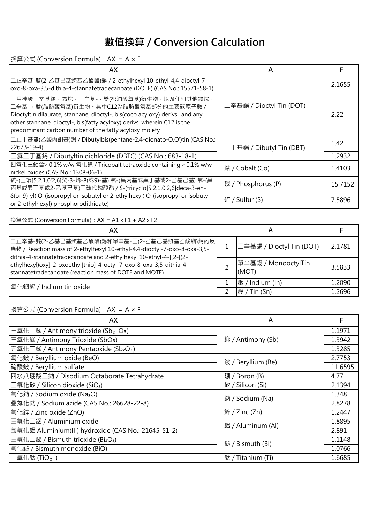換算公式 (Conversion Formula):AX = A × F

| AX                                                                                                                                                                                                                                                                                                      | A                        |         |
|---------------------------------------------------------------------------------------------------------------------------------------------------------------------------------------------------------------------------------------------------------------------------------------------------------|--------------------------|---------|
| 二正辛基-雙(2-乙基己基巰基乙酸酯)錫 / 2-ethylhexyl 10-ethyl-4,4-dioctyl-7-<br>oxo-8-oxa-3,5-dithia-4-stannatetradecanoate (DOTE) (CAS No.: 15571-58-1)                                                                                                                                                                 | 二辛基錫 / Dioctyl Tin (DOT) | 2.1655  |
| ┃二月桂酸ニ辛基錫‧錫烷‧二辛基-‧雙(椰油醯氧基)衍生物‧以及任何其他錫烷﹐<br> 二辛基-·雙(脂肪醯氧基)衍生物。其中C12為脂肪醯氧基部分的主要碳原子數 /<br>Dioctyltin dilaurate, stannane, dioctyl-, bis(coco acyloxy) derivs., and any<br>other stannane, dioctyl-, bis(fatty acyloxy) derivs. wherein C12 is the<br>predominant carbon number of the fatty acyloxy moiety |                          | 2.22    |
| 工正丁基雙(乙醯丙酮基)錫 / Dibutylbis(pentane-2,4-dionato-O,O')tin (CAS No.:<br>$22673 - 19 - 4$                                                                                                                                                                                                                   | 二丁基錫 / Dibutyl Tin (DBT) | 1.42    |
| 二氯二丁基錫 / Dibutyltin dichloride (DBTC) (CAS No.: 683-18-1)                                                                                                                                                                                                                                               |                          | 1.2932  |
| 四氧化三鈷含≥ 0.1% w/w 氧化鎳 / Tricobalt tetraoxide containing ≥ 0.1% w/w<br>nickel oxides (CAS No.: 1308-06-1)                                                                                                                                                                                                 | 鈷 / Cobalt (Co)          | 1.4103  |
| 硫-(三環[5.2.1.0'2,6]癸-3-烯-8(或9)-基) 氧-(異丙基或異丁基或2-乙基己基) 氧-(異<br>丙基或異丁基或2-乙基己基)二硫代磷酸酯 / S-(tricyclo[5.2.1.0'2,6]deca-3-en-                                                                                                                                                                                   | 磷 / Phosphorus (P)       | 15.7152 |
| 8(or 9)-yl) O-(isopropyl or isobutyl or 2-ethylhexyl) O-(isopropyl or isobutyl<br>or 2-ethylhexyl) phosphorodithioate)                                                                                                                                                                                  | 硫 / Sulfur (S)           | 7.5896  |

#### 換算公式 (Conversion Formula):AX = A1 x F1 + A2 x F2

| AХ                                                                                                                                                                                                                                                                                                                             |                              |        |
|--------------------------------------------------------------------------------------------------------------------------------------------------------------------------------------------------------------------------------------------------------------------------------------------------------------------------------|------------------------------|--------|
| 二正辛基-雙(2-乙基己基巰基乙酸酯)錫和單辛基-三(2-乙基己基巰基乙酸酯)錫的反 <br> 應物 / Reaction mass of 2-ethylhexyl 10-ethyl-4,4-dioctyl-7-oxo-8-oxa-3,5-<br>dithia-4-stannatetradecanoate and 2-ethylhexyl 10-ethyl-4-[[2-[(2-<br>ethylhexyl) oxy]-2-oxoethyl]thio]-4-octyl-7-oxo-8-oxa-3,5-dithia-4-<br>stannatetradecanoate (reaction mass of DOTE and MOTE) | 二辛基錫 / Dioctyl Tin (DOT)     | 2.1781 |
|                                                                                                                                                                                                                                                                                                                                | 單辛基錫 / MonooctylTin<br>(MOT) | 3.5833 |
| 氧化銦錫 / Indium tin oxide                                                                                                                                                                                                                                                                                                        | 銦 / Indium (In)              | 1.2090 |
|                                                                                                                                                                                                                                                                                                                                | $\frac{1}{3}$ / Tin (Sn)     | 1.2696 |

| AX                                                            | А                  |         |
|---------------------------------------------------------------|--------------------|---------|
| 三氧化二銻 / Antimony trioxide (Sb <sub>2</sub> O <sub>3</sub> )   | 銻 / Antimony (Sb)  | 1.1971  |
| 三氧化銻 / Antimony Trioxide (SbO <sub>3</sub> )                  |                    | 1.3942  |
| 五氧化二銻 / Antimony Pentaoxide (Sb <sub>2</sub> O <sub>5</sub> ) |                    | 1.3285  |
| 氧化鈹 / Beryllium oxide (BeO)                                   | 鈹 / Beryllium (Be) | 2.7753  |
| 硫酸鈹 / Beryllium sulfate                                       |                    | 11.6595 |
| 四水八硼酸二鈉 / Disodium Octaborate Tetrahydrate                    | 硼 / Boron (B)      | 4.77    |
| 二氧化矽 / Silicon dioxide (SiO <sub>2</sub> )                    | 矽 / Silicon (Si)   | 2.1394  |
| 氧化鈉 / Sodium oxide (Na <sub>2</sub> O)                        | 鈉 / Sodium (Na)    | 1.348   |
| 疊氮化鈉 / Sodium azide (CAS No.: 26628-22-8)                     |                    | 2.8278  |
| 氧化鋅 / Zinc oxide (ZnO)                                        | 鋅 / Zinc (Zn)      | 1.2447  |
| 三氧化二鋁 / Aluminium oxide                                       | 鋁 / Aluminum (Al)  | 1.8895  |
| 氫氧化鋁 Aluminium(III) hydroxide (CAS No.: 21645-51-2)           |                    | 2.891   |
| 三氧化二鉍 / Bismuth trioxide (Bi <sub>2</sub> O <sub>3</sub> )    | 鉍 / Bismuth (Bi)   | 1.1148  |
| 氧化鉍 / Bismuth monoxide (BiO)                                  |                    | 1.0766  |
| $\Box$ 氧化鈦 (TiO $_2$ )                                        | 鈦 / Titanium (Ti)  | 1.6685  |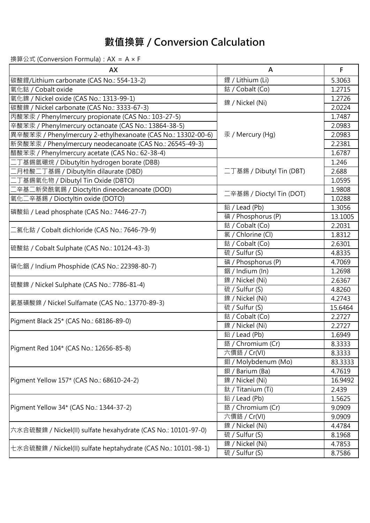| AX                                                             | A                        | F       |
|----------------------------------------------------------------|--------------------------|---------|
| 碳酸鋰/Lithium carbonate (CAS No.: 554-13-2)                      | 鋰 / Lithium (Li)         | 5.3063  |
| 氧化鈷 / Cobalt oxide                                             | 鈷 / Cobalt (Co)          | 1.2715  |
| 氧化鎳 / Nickel oxide (CAS No.: 1313-99-1)                        | 鎳 / Nickel (Ni)          | 1.2726  |
| 碳酸鎳 / Nickel carbonate (CAS No.: 3333-67-3)                    |                          | 2.0224  |
| 丙酸苯汞 / Phenylmercury propionate (CAS No.: 103-27-5)            |                          | 1.7487  |
| 辛酸苯汞 / Phenylmercury octanoate (CAS No.: 13864-38-5)           |                          | 2.0983  |
| 異辛酸苯汞 / Phenylmercury 2-ethylhexanoate (CAS No.: 13302-00-6)   | 汞 / Mercury (Hg)         | 2.0983  |
| 新癸酸苯汞 / Phenylmercury neodecanoate (CAS No.: 26545-49-3)       |                          | 2.2381  |
| 醋酸苯汞 / Phenylmercury acetate (CAS No.: 62-38-4)                |                          | 1.6787  |
| 二丁基錫氫硼烷 / Dibutyltin hydrogen borate (DBB)                     |                          | 1.246   |
| 二月桂酸二丁基錫 / Dibutyltin dilaurate (DBD)                          | 二丁基錫 / Dibutyl Tin (DBT) | 2.688   |
| 二丁基錫氧化物 / Dibutyl Tin Oxide (DBTO)                             |                          | 1.0595  |
| 二辛基二新癸酰氧錫 / Dioctyltin dineodecanoate (DOD)                    | 二辛基錫 / Dioctyl Tin (DOT) | 1.9808  |
| 氧化二辛基錫 / Dioctyltin oxide (DOTO)                               |                          | 1.0288  |
| 磷酸鉛 / Lead phosphate (CAS No.: 7446-27-7)                      | 鉛 / Lead (Pb)            | 1.3056  |
|                                                                | 磷 / Phosphorus (P)       | 13.1005 |
| 二氯化鈷 / Cobalt dichloride (CAS No.: 7646-79-9)                  | 鈷 / Cobalt (Co)          | 2.2031  |
|                                                                | 氯 / Chlorine (Cl)        | 1.8312  |
| 硫酸鈷 / Cobalt Sulphate (CAS No.: 10124-43-3)                    | 鈷 / Cobalt (Co)          | 2.6301  |
|                                                                | 硫 / Sulfur (S)           | 4.8335  |
| 磷化銦 / Indium Phosphide (CAS No.: 22398-80-7)                   | 磷 / Phosphorus (P)       | 4.7069  |
|                                                                | 銦 / Indium (ln)          | 1.2698  |
| 硫酸鎳 / Nickel Sulphate (CAS No.: 7786-81-4)                     | 鎳 / Nickel (Ni)          | 2.6367  |
|                                                                | 硫 / Sulfur (S)           | 4.8260  |
| 氨基磺酸鎳 / Nickel Sulfamate (CAS No.: 13770-89-3)                 | 鎳 / Nickel (Ni)          | 4.2743  |
|                                                                | 硫 / Sulfur (S)           | 15.6464 |
| Pigment Black 25* (CAS No.: 68186-89-0)                        | 鈷 / Cobalt (Co)          | 2.2727  |
|                                                                | 鎳 / Nickel (Ni)          | 2.2727  |
|                                                                | 鉛 / Lead (Pb)            | 1.6949  |
| Pigment Red 104* (CAS No.: 12656-85-8)                         | 鉻 / Chromium (Cr)        | 8.3333  |
|                                                                | 六價鉻 / Cr(VI)             | 8.3333  |
|                                                                | 鉬 / Molybdenum (Mo)      | 83.3333 |
|                                                                | 鋇 / Barium (Ba)          | 4.7619  |
| Pigment Yellow 157* (CAS No.: 68610-24-2)                      | 鎳 / Nickel (Ni)          | 16.9492 |
|                                                                | 鈦 / Titanium (Ti)        | 2.439   |
| Pigment Yellow 34* (CAS No.: 1344-37-2)                        | 鉛 / Lead (Pb)            | 1.5625  |
|                                                                | 鉻 / Chromium (Cr)        | 9.0909  |
|                                                                | 六價鉻 / Cr(VI)             | 9.0909  |
| 六水合硫酸鎳 / Nickel(II) sulfate hexahydrate (CAS No.: 10101-97-0)  | 鎳 / Nickel (Ni)          | 4.4784  |
|                                                                | 硫 / Sulfur (S)           | 8.1968  |
| 七水合硫酸鎳 / Nickel(II) sulfate heptahydrate (CAS No.: 10101-98-1) | 鎳 / Nickel (Ni)          | 4.7853  |
|                                                                | 硫 / Sulfur (S)           | 8.7586  |